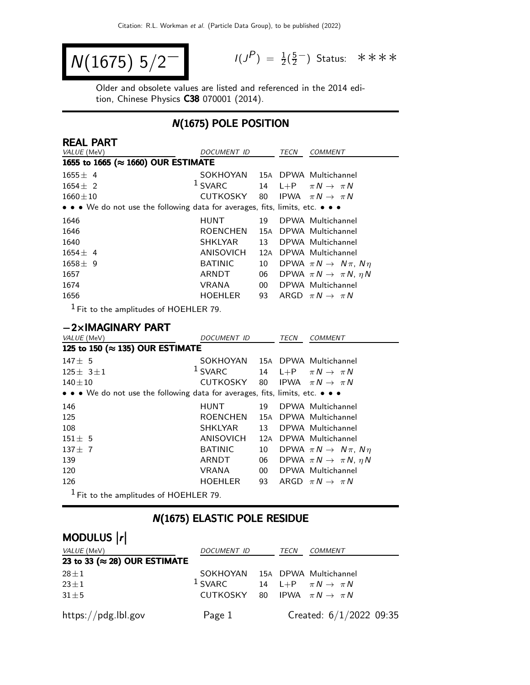$$
N(1675) 5/2^-
$$

 $P$ ) =  $\frac{1}{2}(\frac{5}{2})$ <u>5</u>−) Status: \*\*\*\*

Older and obsolete values are listed and referenced in the 2014 edition, Chinese Physics C38 070001 (2014).

## N(1675) POLE POSITION

| <b>REAL PART</b>                                                              |                       |          |             |                                           |
|-------------------------------------------------------------------------------|-----------------------|----------|-------------|-------------------------------------------|
| VALUE (MeV)                                                                   | DOCUMENT ID           |          | TECN        | <b>COMMENT</b>                            |
| 1655 to 1665 (≈ 1660) OUR ESTIMATE                                            |                       |          |             |                                           |
| $1655 \pm 4$                                                                  | SOKHOYAN              |          |             | 15A DPWA Multichannel                     |
| $1654 \pm 2$                                                                  | $1$ SVARC             | 14       | $L + P$     | $\pi N \rightarrow \pi N$                 |
| $1660 \pm 10$                                                                 | <b>CUTKOSKY</b>       | 80       |             | IPWA $\pi N \rightarrow \pi N$            |
| • • • We do not use the following data for averages, fits, limits, etc. • • • |                       |          |             |                                           |
| 1646                                                                          | <b>HUNT</b>           | 19       |             | DPWA Multichannel                         |
| 1646                                                                          | <b>ROENCHEN</b>       | 15A      |             | DPWA Multichannel                         |
| 1640                                                                          | <b>SHKLYAR</b>        | 13       |             | DPWA Multichannel                         |
| $1654 \pm 4$                                                                  | ANISOVICH             |          |             | 12A DPWA Multichannel                     |
| $1658 \pm 9$                                                                  | <b>BATINIC</b>        | 10       |             | DPWA $\pi N \rightarrow N \pi$ , $N \eta$ |
| 1657                                                                          | ARNDT                 | 06       |             | DPWA $\pi N \rightarrow \pi N$ , $\eta N$ |
| 1674                                                                          | <b>VRANA</b>          | $00\,$   |             | DPWA Multichannel                         |
| 1656                                                                          | HOEHLER               | 93       |             | ARGD $\pi N \rightarrow \pi N$            |
| $^1$ Fit to the amplitudes of HOEHLER 79.                                     |                       |          |             |                                           |
|                                                                               |                       |          |             |                                           |
| $-2\times$ IMAGINARY PART                                                     |                       |          |             |                                           |
| VALUE (MeV)<br>125 to 150 (≈ 135) OUR ESTIMATE                                | DOCUMENT ID           |          | <b>TECN</b> | <b>COMMENT</b>                            |
|                                                                               |                       |          |             |                                           |
| $147 \pm 5$                                                                   | SOKHOYAN<br>$1$ SVARC |          |             | 15A DPWA Multichannel                     |
| $125 \pm 3 \pm 1$                                                             | CUTKOSKY              | 14<br>80 | $L + P$     | $\pi N \rightarrow \pi N$                 |
| $140 + 10$                                                                    |                       |          | IPWA        | $\pi N \rightarrow \pi N$                 |
| • • • We do not use the following data for averages, fits, limits, etc. • • • |                       |          |             |                                           |
| 146                                                                           | <b>HUNT</b>           | 19       |             | DPWA Multichannel                         |
| 125                                                                           | <b>ROENCHEN</b>       |          |             | 15A DPWA Multichannel                     |
| 108                                                                           | <b>SHKLYAR</b>        | 13       |             | DPWA Multichannel                         |
| $151 \pm 5$                                                                   | <b>ANISOVICH</b>      | 12A      |             | DPWA Multichannel                         |
| $137 + 7$                                                                     | <b>BATINIC</b>        | 10       |             | DPWA $\pi N \rightarrow N \pi$ , $N \eta$ |
| 139                                                                           | ARNDT                 | 06       |             | DPWA $\pi N \rightarrow \pi N$ , $\eta N$ |
| 120                                                                           | <b>VRANA</b>          | $00\,$   |             | DPWA Multichannel                         |
| 126                                                                           | <b>HOEHLER</b>        | 93       |             | ARGD $\pi N \rightarrow \pi N$            |
|                                                                               |                       |          |             |                                           |

## N(1675) ELASTIC POLE RESIDUE

# MODULUS  $\vert r \vert$

| VALUE (MeV)                           | DOCUMENT ID                                         | TECN | <i>COMMENT</i>            |
|---------------------------------------|-----------------------------------------------------|------|---------------------------|
| 23 to 33 ( $\approx$ 28) OUR ESTIMATE |                                                     |      |                           |
| $28 \pm 1$                            | SOKHOYAN 15A DPWA Multichannel                      |      |                           |
| $23 \pm 1$                            | <sup>1</sup> SVARC 14 L+P $\pi N \rightarrow \pi N$ |      |                           |
| $31 \pm 5$                            | CUTKOSKY 80 IPWA $\pi N \rightarrow \pi N$          |      |                           |
| https://pdg.lbl.gov                   | Page 1                                              |      | Created: $6/1/2022$ 09:35 |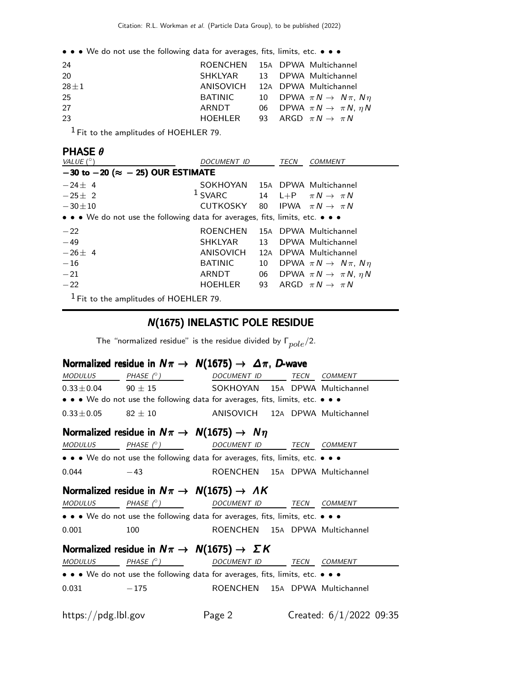• • • We do not use the following data for averages, fits, limits, etc. • • •

| 24       |         | ROENCHEN 15A DPWA Multichannel               |
|----------|---------|----------------------------------------------|
| 20       |         | SHKLYAR 13 DPWA Multichannel                 |
| $28 + 1$ |         | ANISOVICH 12A DPWA Multichannel              |
| 25       | BATINIC | 10 DPWA $\pi N \rightarrow N \pi$ , $N \eta$ |
| 27       | ARNDT   | 06 DPWA $\pi N \rightarrow \pi N$ , $\eta N$ |
| 23       |         | HOEHLER 93 ARGD $\pi N \to \pi N$            |
|          |         |                                              |

1 Fit to the amplitudes of HOEHLER 79.

| <b>PHASE <math>\theta</math></b>                                              |                                            |                 |      |                                           |
|-------------------------------------------------------------------------------|--------------------------------------------|-----------------|------|-------------------------------------------|
| VALUE $(^\circ)$                                                              | DOCUMENT ID                                |                 | TECN | COMMENT                                   |
| $-30$ to $-20$ ( $\approx -25$ ) OUR ESTIMATE                                 |                                            |                 |      |                                           |
| $-24+4$                                                                       | SOKHOYAN 15A DPWA Multichannel             |                 |      |                                           |
| $-25+2$                                                                       | $1$ SVARC                                  |                 |      | 14 L+P $\pi N \rightarrow \pi N$          |
| $-30\pm10$                                                                    | CUTKOSKY 80 IPWA $\pi N \rightarrow \pi N$ |                 |      |                                           |
| • • • We do not use the following data for averages, fits, limits, etc. • • • |                                            |                 |      |                                           |
| $-22$                                                                         | <b>ROENCHEN</b>                            |                 |      | 15A DPWA Multichannel                     |
| $-49$                                                                         | <b>SHKLYAR</b>                             | 13 <sup>7</sup> |      | DPWA Multichannel                         |
| $-26+4$                                                                       | ANISOVICH                                  | 12A             |      | DPWA Multichannel                         |
| $-16$                                                                         | <b>BATINIC</b>                             | 10              |      | DPWA $\pi N \rightarrow N \pi$ , $N \eta$ |
| $-21$                                                                         | ARNDT                                      | 06              |      | DPWA $\pi N \rightarrow \pi N$ , $\eta N$ |
| $-22$                                                                         | <b>HOEHLER</b>                             | 93              |      | ARGD $\pi N \rightarrow \pi N$            |
| $1$ Fit to the amplitudes of HOEHLER 79.                                      |                                            |                 |      |                                           |

### N(1675) INELASTIC POLE RESIDUE

The "normalized residue" is the residue divided by  $\Gamma_{pole}/2$ .

## Normalized residue in  $N\pi \rightarrow N(1675) \rightarrow \Delta \pi$ , D-wave

|                     | MODULUS PHASE $(^\circ)$                                                      | DOCUMENT ID TECN                |      | <b>COMMENT</b>            |
|---------------------|-------------------------------------------------------------------------------|---------------------------------|------|---------------------------|
|                     | $0.33 \pm 0.04$ 90 $\pm$ 15                                                   | SOKHOYAN 15A DPWA Multichannel  |      |                           |
|                     | • • • We do not use the following data for averages, fits, limits, etc. • • • |                                 |      |                           |
| $0.33 \pm 0.05$     | $82 + 10$                                                                     | ANISOVICH 12A DPWA Multichannel |      |                           |
|                     | Normalized residue in $N\pi \rightarrow N(1675) \rightarrow N\eta$            |                                 |      |                           |
| MODULUS             | PHASE (°)                                                                     | DOCUMENT ID TECN COMMENT        |      |                           |
|                     | • • • We do not use the following data for averages, fits, limits, etc. • • • |                                 |      |                           |
| 0.044               | $-43$                                                                         | ROENCHEN 15A DPWA Multichannel  |      |                           |
|                     | Normalized residue in $N\pi \rightarrow N(1675) \rightarrow AK$               |                                 |      |                           |
| MODULUS             | PHASE $(^\circ)$                                                              | DOCUMENT ID                     | TECN | <b>COMMENT</b>            |
|                     | • • • We do not use the following data for averages, fits, limits, etc. • • • |                                 |      |                           |
| 0.001               | 100                                                                           | ROENCHEN 15A DPWA Multichannel  |      |                           |
|                     | Normalized residue in $N\pi \to N(1675) \to \Sigma K$                         |                                 |      |                           |
|                     | $MODULUS$ PHASE $(°)$ DOCUMENT ID TECN COMMENT                                |                                 |      |                           |
|                     | • • • We do not use the following data for averages, fits, limits, etc. • • • |                                 |      |                           |
| 0.031               | $-175$                                                                        | ROENCHEN 15A DPWA Multichannel  |      |                           |
| https://pdg.lbl.gov |                                                                               | Page 2                          |      | Created: $6/1/2022$ 09:35 |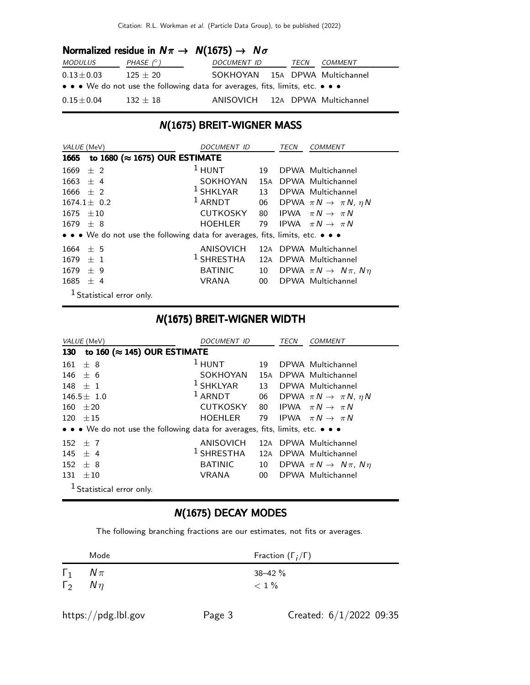### Normalized residue in  $N\pi \rightarrow N(1675) \rightarrow N\sigma$

| <i>MODULUS</i>    | PHASE $(^\circ)$                                                              | DOCUMENT ID                     | TECN | <i>COMMENT</i> |
|-------------------|-------------------------------------------------------------------------------|---------------------------------|------|----------------|
| $0.13\pm0.03$     | $125 + 20$                                                                    | SOKHOYAN 15A DPWA Multichannel  |      |                |
|                   | • • • We do not use the following data for averages, fits, limits, etc. • • • |                                 |      |                |
| $0.15\!\pm\!0.04$ | $132 + 18$                                                                    | ANISOVICH 12A DPWA Multichannel |      |                |

## N(1675) BREIT-WIGNER MASS

| VALUE (MeV)                                                                   | DOCUMENT ID     |                 | TECN | <b>COMMENT</b>                               |
|-------------------------------------------------------------------------------|-----------------|-----------------|------|----------------------------------------------|
| to 1680 (≈ 1675) OUR ESTIMATE<br>1665                                         |                 |                 |      |                                              |
| $±$ 2<br>1669                                                                 | $1$ HUNT        | 19              |      | DPWA Multichannel                            |
| $1663 \pm 4$                                                                  | SOKHOYAN        | 15A             |      | DPWA Multichannel                            |
| $1666 \pm 2$                                                                  | $1$ SHKLYAR     |                 |      | 13 DPWA Multichannel                         |
| $1674.1 \pm 0.2$                                                              | $1$ ARNDT       |                 |      | 06 DPWA $\pi N \rightarrow \pi N$ , $\eta N$ |
| $1675 + 10$                                                                   | <b>CUTKOSKY</b> |                 |      | 80 IPWA $\pi N \rightarrow \pi N$            |
| $1679 \pm 8$                                                                  | HOEHLER         | 79              |      | IPWA $\pi N \rightarrow \pi N$               |
| • • • We do not use the following data for averages, fits, limits, etc. • • • |                 |                 |      |                                              |
| $1664 + 5$                                                                    | ANISOVICH       | 12A             |      | DPWA Multichannel                            |
| 1679<br>$+1$                                                                  | $1$ SHRESTHA    | 12A             |      | DPWA Multichannel                            |
| 1679<br>$+9$                                                                  | <b>BATINIC</b>  | 10              |      | DPWA $\pi N \rightarrow N \pi$ , $N \eta$    |
| $1685 \pm 4$                                                                  | VRANA           | 00 <sup>1</sup> |      | DPWA Multichannel                            |
| $1$ Statistical error only.                                                   |                 |                 |      |                                              |

### N(1675) BREIT-WIGNER WIDTH

| VALUE (MeV)                                                                   | <i>DOCUMENT ID</i> |        | TECN | <i>COMMENT</i>                            |
|-------------------------------------------------------------------------------|--------------------|--------|------|-------------------------------------------|
| to 160 ( $\approx$ 145) OUR ESTIMATE<br>130                                   |                    |        |      |                                           |
| $+8$<br>161                                                                   | $1$ HUNT           | 19     |      | DPWA Multichannel                         |
| 146<br>± 6                                                                    | SOKHOYAN           | 15A    |      | DPWA Multichannel                         |
| $148 + 1$                                                                     | $1$ SHKLYAR        | 13     |      | DPWA Multichannel                         |
| $146.5 \pm 1.0$                                                               | $1$ ARNDT          | 06     |      | DPWA $\pi N \rightarrow \pi N$ , $\eta N$ |
| $+20$<br>160                                                                  | <b>CUTKOSKY</b>    | 80     |      | IPWA $\pi N \rightarrow \pi N$            |
| $120 \pm 15$                                                                  | <b>HOEHLER</b>     | 79     |      | IPWA $\pi N \to \pi N$                    |
| • • • We do not use the following data for averages, fits, limits, etc. • • • |                    |        |      |                                           |
| 152<br>$+7$                                                                   | ANISOVICH          |        |      | 12A DPWA Multichannel                     |
| 145<br>$+4$                                                                   | $1$ SHRESTHA       | 12A    |      | DPWA Multichannel                         |
| 152<br>$+8$                                                                   | <b>BATINIC</b>     | 10     |      | DPWA $\pi N \rightarrow N \pi$ , $N \eta$ |
| $\pm 10$<br>131                                                               | <b>VRANA</b>       | $00\,$ |      | DPWA Multichannel                         |
| <sup>1</sup> Statistical error only.                                          |                    |        |      |                                           |

## N(1675) DECAY MODES

The following branching fractions are our estimates, not fits or averages.

|                                  | Mode   | Fraction $(\Gamma_i/\Gamma)$ |
|----------------------------------|--------|------------------------------|
| $\Gamma_1$<br>$\Gamma_2$ $N\eta$ | $N\pi$ | $38 - 42 \%$<br>$< 1\%$      |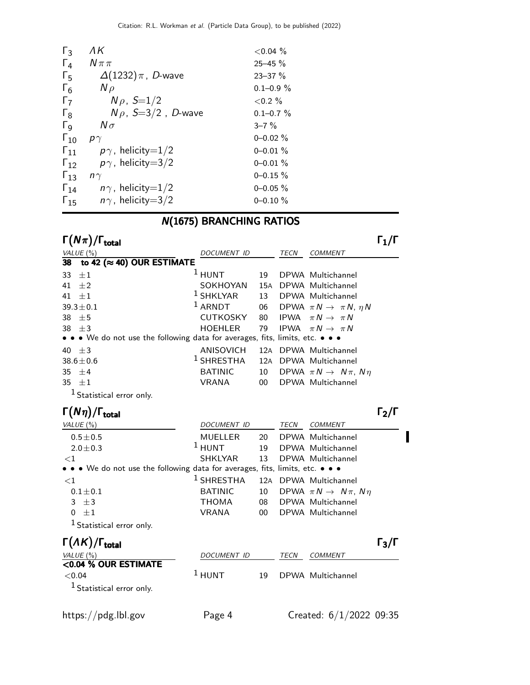| $\Gamma_3$            | ΛK                         | ${<}0.04\%$    |
|-----------------------|----------------------------|----------------|
| $\Gamma_4$            | $N \pi \pi$                | $25 - 45 \%$   |
| $\Gamma_{5}$          | $\Delta(1232)\pi$ , D-wave | $23 - 37 \%$   |
| $\Gamma_6$            | $N \rho$                   | $0.1 - 0.9 \%$ |
| $\Gamma_7$            | $N\rho$ , $S=1/2$          | ${<}0.2\%$     |
| $\mathsf{L}^8$        | $N \rho$ , S=3/2, D-wave   | $0.1 - 0.7 \%$ |
| $\Gamma_{\mathsf{Q}}$ | $N\sigma$                  | $3 - 7\%$      |
| $\Gamma_{10}$         | $p\gamma$                  | $0 - 0.02 \%$  |
| $\Gamma_{11}$         | $p\gamma$ , helicity=1/2   | $0 - 0.01 \%$  |
| $\Gamma_{12}$         | $p\gamma$ , helicity=3/2   | $0 - 0.01 \%$  |
| $\Gamma_{13}$         | n $\gamma$                 | $0 - 0.15 \%$  |
| $\Gamma_{14}$         | $n\gamma$ , helicity=1/2   | $0 - 0.05 \%$  |
| $\Gamma_{15}$         | $n\gamma$ , helicity=3/2   | $0 - 0.10 \%$  |

# N(1675) BRANCHING RATIOS

Γ $(N\pi)/\Gamma_{\text{total}}$  Γ $_1/\Gamma$ 

| VALUE $(\%)$                                                                  | DOCUMENT ID           |    | TECN | <b>COMMENT</b>                            |
|-------------------------------------------------------------------------------|-----------------------|----|------|-------------------------------------------|
| to 42 ( $\approx$ 40) OUR ESTIMATE<br>38                                      |                       |    |      |                                           |
| 33<br>$\pm 1$                                                                 | <sup>1</sup> HUNT     | 19 |      | DPWA Multichannel                         |
| $41 + 2$                                                                      | SOKHOYAN              |    |      | 15A DPWA Multichannel                     |
| 41 $\pm 1$                                                                    | <sup>1</sup> SHKLYAR  | 13 |      | DPWA Multichannel                         |
| $39.3 \pm 0.1$                                                                | $1$ ARNDT             | 06 |      | DPWA $\pi N \rightarrow \pi N$ , $\eta N$ |
| $38 + 5$                                                                      | <b>CUTKOSKY</b>       | 80 |      | IPWA $\pi N \rightarrow \pi N$            |
| 38 $\pm 3$                                                                    | HOEHLER               | 79 |      | IPWA $\pi N \rightarrow \pi N$            |
| • • • We do not use the following data for averages, fits, limits, etc. • • • |                       |    |      |                                           |
| 40 $\pm$ 3                                                                    | ANISOVICH             |    |      | 12A DPWA Multichannel                     |
| $38.6 \pm 0.6$                                                                | <sup>1</sup> SHRESTHA |    |      | 12A DPWA Multichannel                     |
| 35 $\pm$ 4                                                                    | <b>BATINIC</b>        | 10 |      | DPWA $\pi N \rightarrow N \pi$ , $N \eta$ |
| 35 $\pm 1$                                                                    | VRANA                 | 00 |      | DPWA Multichannel                         |
| <sup>1</sup> Statistical error only.                                          |                       |    |      |                                           |

| $\Gamma(N\eta)/\Gamma_{\rm total}$                                            |                    |    |      |                                           | $\lceil 2/\rceil$ |
|-------------------------------------------------------------------------------|--------------------|----|------|-------------------------------------------|-------------------|
| VALUE $(\%)$                                                                  | <b>DOCUMENT ID</b> |    | TECN | <b>COMMENT</b>                            |                   |
| $0.5 \pm 0.5$                                                                 | <b>MUELLER</b>     | 20 |      | DPWA Multichannel                         |                   |
| $2.0 \pm 0.3$                                                                 | $1$ HUNT           | 19 |      | DPWA Multichannel                         |                   |
| ${<}1$                                                                        | SHKLYAR            | 13 |      | DPWA Multichannel                         |                   |
| • • • We do not use the following data for averages, fits, limits, etc. • • • |                    |    |      |                                           |                   |
| ${<}1$                                                                        | $1$ SHRESTHA       |    |      | 12A DPWA Multichannel                     |                   |
| $0.1 \pm 0.1$                                                                 | <b>BATINIC</b>     | 10 |      | DPWA $\pi N \rightarrow N \pi$ , $N \eta$ |                   |
| $3 \pm 3$                                                                     | <b>THOMA</b>       | 08 |      | DPWA Multichannel                         |                   |
| $\pm 1$<br>0                                                                  | <b>VRANA</b>       | 00 |      | DPWA Multichannel                         |                   |
| $1$ Statistical error only.                                                   |                    |    |      |                                           |                   |

| $\Gamma(\Lambda K)/\Gamma_{\rm total}$                           |             |    |      |                   | $\Gamma_3/\Gamma$ |
|------------------------------------------------------------------|-------------|----|------|-------------------|-------------------|
| VALUE (%)                                                        | DOCUMENT ID |    | TECN | <b>COMMENT</b>    |                   |
| <0.04 % OUR ESTIMATE<br>${<}0.04$<br>$1$ Statistical error only. | $1$ HUNT    | 19 |      | DPWA Multichannel |                   |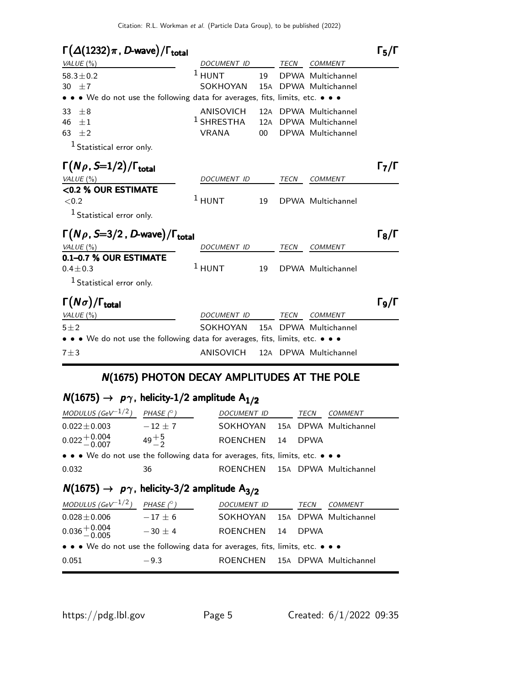## $\Gamma(\Delta(1232)\pi, D\text{-wave})/\Gamma_{\text{total}}$  Γ<sub>5</sub>/Γ

| ι (Δ(1232)π, D-wave)/I <sub>total</sub>                                       |                    |     |             |                       | 15/1                                  |
|-------------------------------------------------------------------------------|--------------------|-----|-------------|-----------------------|---------------------------------------|
| VALUE $(\%)$                                                                  | DOCUMENT ID        |     | TECN        | <b>COMMENT</b>        |                                       |
| $58.3 \pm 0.2$                                                                | $1$ HUNT           | 19  |             | DPWA Multichannel     |                                       |
| 30 $\pm 7$                                                                    | SOKHOYAN           | 15A |             | DPWA Multichannel     |                                       |
| • • • We do not use the following data for averages, fits, limits, etc. • • • |                    |     |             |                       |                                       |
| 33<br>$\pm 8$                                                                 | ANISOVICH          |     |             | 12A DPWA Multichannel |                                       |
| 46<br>$\pm 1$                                                                 | $1$ SHRESTHA       |     |             | 12A DPWA Multichannel |                                       |
| 63<br>$\pm 2$                                                                 | <b>VRANA</b>       | 00  |             | DPWA Multichannel     |                                       |
| $1$ Statistical error only.                                                   |                    |     |             |                       |                                       |
| $\Gamma(N\rho, S=1/2)/\Gamma_{\rm total}$                                     |                    |     |             |                       | $\Gamma_7/\Gamma$                     |
| VALUE $(\%)$                                                                  | DOCUMENT ID        |     | TECN        | <b>COMMENT</b>        |                                       |
| <0.2 % OUR ESTIMATE                                                           |                    |     |             |                       |                                       |
| ${<}0.2$                                                                      | $1$ HUNT           | 19  |             | DPWA Multichannel     |                                       |
| <sup>1</sup> Statistical error only.                                          |                    |     |             |                       |                                       |
| $\Gamma(N\rho, S=3/2, D$ -wave)/ $\Gamma_{\text{total}}$                      |                    |     |             |                       | $\Gamma_8/\Gamma$                     |
| VALUE $(\%)$                                                                  | DOCUMENT ID        |     | TECN        | <b>COMMENT</b>        |                                       |
| 0.1-0.7 % OUR ESTIMATE                                                        |                    |     |             |                       |                                       |
| $0.4 \pm 0.3$                                                                 | $1$ HUNT           | 19  |             | DPWA Multichannel     |                                       |
| <sup>1</sup> Statistical error only.                                          |                    |     |             |                       |                                       |
| $\Gamma(N\sigma)/\Gamma_{\rm total}$                                          |                    |     |             |                       | $\mathsf{\Gamma}_{9}/\mathsf{\Gamma}$ |
| VALUE (%)                                                                     | <b>DOCUMENT ID</b> |     | <b>TECN</b> | <b>COMMENT</b>        |                                       |
| $5 + 2$                                                                       | SOKHOYAN           | 15A |             | DPWA Multichannel     |                                       |
| • • • We do not use the following data for averages, fits, limits, etc. • • • |                    |     |             |                       |                                       |
| $7 + 3$                                                                       | ANISOVICH          |     |             | 12A DPWA Multichannel |                                       |
|                                                                               |                    |     |             |                       |                                       |

## N(1675) PHOTON DECAY AMPLITUDES AT THE POLE

# $N(1675) \rightarrow p\gamma$ , helicity-1/2 amplitude A<sub>1/2</sub>

| MODULUS (GeV <sup>-1/2</sup> )                                                | PHASE $(^\circ)$ | <i>DOCUMENT ID</i>             |    | TECN        | <b>COMMENT</b>        |  |
|-------------------------------------------------------------------------------|------------------|--------------------------------|----|-------------|-----------------------|--|
| $0.022 \pm 0.003$                                                             | $-12 + 7$        | SOKHOYAN 15A DPWA Multichannel |    |             |                       |  |
| $0.022 + 0.004$                                                               | $49^{+5}_{-2}$   | <b>ROENCHEN</b>                | 14 | <b>DPWA</b> |                       |  |
| • • • We do not use the following data for averages, fits, limits, etc. • • • |                  |                                |    |             |                       |  |
| 0.032                                                                         | 36               | ROENCHEN                       |    |             | 15A DPWA Multichannel |  |
| $N(1675) \rightarrow p\gamma$ , helicity-3/2 amplitude A <sub>3/2</sub>       |                  |                                |    |             |                       |  |
| MODULUS (GeV <sup>-1/2</sup> )                                                | PHASE $(^\circ)$ | DOCUMENT ID                    |    | TECN        | <i>COMMENT</i>        |  |

| $NUDULUS$ (GeV $\rightarrow$ -1                                               | PHASE IT   | <i>DOCUMENT ID</i>             | IECIV | CUMMENT |
|-------------------------------------------------------------------------------|------------|--------------------------------|-------|---------|
| $0.028 \pm 0.006$                                                             | $-17\pm 6$ | SOKHOYAN 15A DPWA Multichannel |       |         |
| $0.036 + 0.004$                                                               | $-30 + 4$  | ROENCHEN 14 DPWA               |       |         |
| • • • We do not use the following data for averages, fits, limits, etc. • • • |            |                                |       |         |
| 0.051                                                                         | $-9.3$     | ROENCHEN 15A DPWA Multichannel |       |         |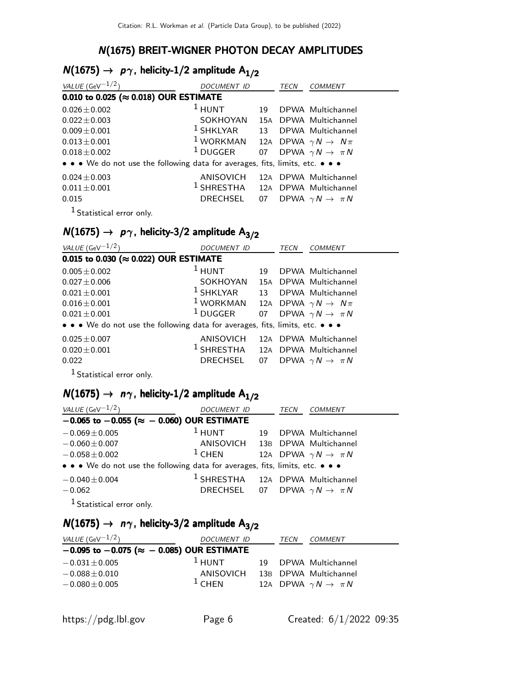## N(1675) BREIT-WIGNER PHOTON DECAY AMPLITUDES

# $N(1675) \rightarrow p\gamma$ , helicity-1/2 amplitude  $A_{1/2}$

| VALUE (GeV $^{-1/2}$ )                                                        | <b>DOCUMENT ID</b>                          |    | TECN | <b>COMMENT</b>                        |
|-------------------------------------------------------------------------------|---------------------------------------------|----|------|---------------------------------------|
| 0.010 to 0.025 ( $\approx$ 0.018) OUR ESTIMATE                                |                                             |    |      |                                       |
| $0.026 \pm 0.002$                                                             | $1$ HUNT                                    | 19 |      | DPWA Multichannel                     |
| $0.022 \pm 0.003$                                                             | SOKHOYAN                                    |    |      | 15A DPWA Multichannel                 |
| $0.009 \pm 0.001$                                                             | $1$ SHKLYAR 13                              |    |      | DPWA Multichannel                     |
| $0.013 \pm 0.001$                                                             | $1$ WORKMAN                                 |    |      | 12A DPWA $\gamma N \rightarrow N \pi$ |
| $0.018 \pm 0.002$                                                             | <sup>1</sup> DUGGER                         |    |      | 07 DPWA $\gamma N \to \pi N$          |
| • • • We do not use the following data for averages, fits, limits, etc. • • • |                                             |    |      |                                       |
| $0.024 \pm 0.003$                                                             | ANISOVICH                                   |    |      | 12A DPWA Multichannel                 |
| $0.011 \pm 0.001$                                                             | <sup>1</sup> SHRESTHA 12A DPWA Multichannel |    |      |                                       |
| 0.015                                                                         | DRECHSEL                                    | 07 |      | DPWA $\gamma N \rightarrow \pi N$     |
| $\mathbf{1}_{\mathbf{a}}$ , and $\mathbf{a}$                                  |                                             |    |      |                                       |

1 Statistical error only.

# $N(1675) \rightarrow p\gamma$ , helicity-3/2 amplitude  $A_{3/2}$

| VALUE (GeV $-1/2$ )                                                                                                | <b>DOCUMENT ID</b>                                        |    | TECN | <b>COMMENT</b>                    |
|--------------------------------------------------------------------------------------------------------------------|-----------------------------------------------------------|----|------|-----------------------------------|
| 0.015 to 0.030 ( $\approx$ 0.022) OUR ESTIMATE                                                                     |                                                           |    |      |                                   |
| $0.005 \pm 0.002$                                                                                                  | $1$ HUNT                                                  | 19 |      | DPWA Multichannel                 |
| $0.027 + 0.006$                                                                                                    | SOKHOYAN                                                  |    |      | 15A DPWA Multichannel             |
| $0.021 \pm 0.001$                                                                                                  | $1$ SHKLYAR                                               |    |      | 13 DPWA Multichannel              |
| $0.016 \pm 0.001$                                                                                                  | <sup>1</sup> WORKMAN 12A DPWA $\gamma N \rightarrow N\pi$ |    |      |                                   |
| $0.021 \pm 0.001$                                                                                                  | $^1$ DUGGER                                               |    |      | 07 DPWA $\gamma N \to \pi N$      |
| • • • We do not use the following data for averages, fits, limits, etc. • • •                                      |                                                           |    |      |                                   |
| $0.025 \pm 0.007$                                                                                                  | ANISOVICH 12A DPWA Multichannel                           |    |      |                                   |
| $0.020 + 0.001$                                                                                                    | <sup>1</sup> SHRESTHA 12A DPWA Multichannel               |    |      |                                   |
| 0.022                                                                                                              | DRECHSEL                                                  | 07 |      | DPWA $\gamma N \rightarrow \pi N$ |
| $\mathbf{1}$ and $\mathbf{1}$ and $\mathbf{1}$ and $\mathbf{1}$ and $\mathbf{1}$ and $\mathbf{1}$ and $\mathbf{1}$ |                                                           |    |      |                                   |

1 Statistical error only.

# $N(1675) \rightarrow n\gamma$ , helicity-1/2 amplitude A<sub>1/2</sub>

| VALUE (GeV $^{-1/2}$ )                                                        | DOCUMENT ID                                 | TECN | <b>COMMENT</b>                        |
|-------------------------------------------------------------------------------|---------------------------------------------|------|---------------------------------------|
| $-0.065$ to $-0.055$ ( $\approx -0.060$ ) OUR ESTIMATE                        |                                             |      |                                       |
| $-0.069 \pm 0.005$                                                            | $1$ HUNT                                    |      | 19 DPWA Multichannel                  |
| $-0.060 \pm 0.007$                                                            | ANISOVICH 13B DPWA Multichannel             |      |                                       |
| $-0.058 \pm 0.002$                                                            | $1$ CHEN                                    |      | 12A DPWA $\gamma N \rightarrow \pi N$ |
| • • • We do not use the following data for averages, fits, limits, etc. • • • |                                             |      |                                       |
| $-0.040 \pm 0.004$                                                            | <sup>1</sup> SHRESTHA 12A DPWA Multichannel |      |                                       |
| $-0.062$                                                                      | DRECHSEL 07 DPWA $\gamma N \to \pi N$       |      |                                       |
|                                                                               |                                             |      |                                       |

<sup>1</sup> Statistical error only.

# $N(1675) \rightarrow n\gamma$ , helicity-3/2 amplitude A<sub>3/2</sub>

| <i>VALUE</i> (GeV $^{-1/2}$ )                          | DOCUMENT ID | TECN | COMMENT                               |
|--------------------------------------------------------|-------------|------|---------------------------------------|
| $-0.095$ to $-0.075$ ( $\approx -0.085$ ) OUR ESTIMATE |             |      |                                       |
| $-0.031 \pm 0.005$                                     | $1$ HUNT    |      | 19 DPWA Multichannel                  |
| $-0.088 \pm 0.010$                                     | ANISOVICH   |      | 13B DPWA Multichannel                 |
| $-0.080 \pm 0.005$                                     | $1$ CHFN    |      | 12A DPWA $\gamma N \rightarrow \pi N$ |